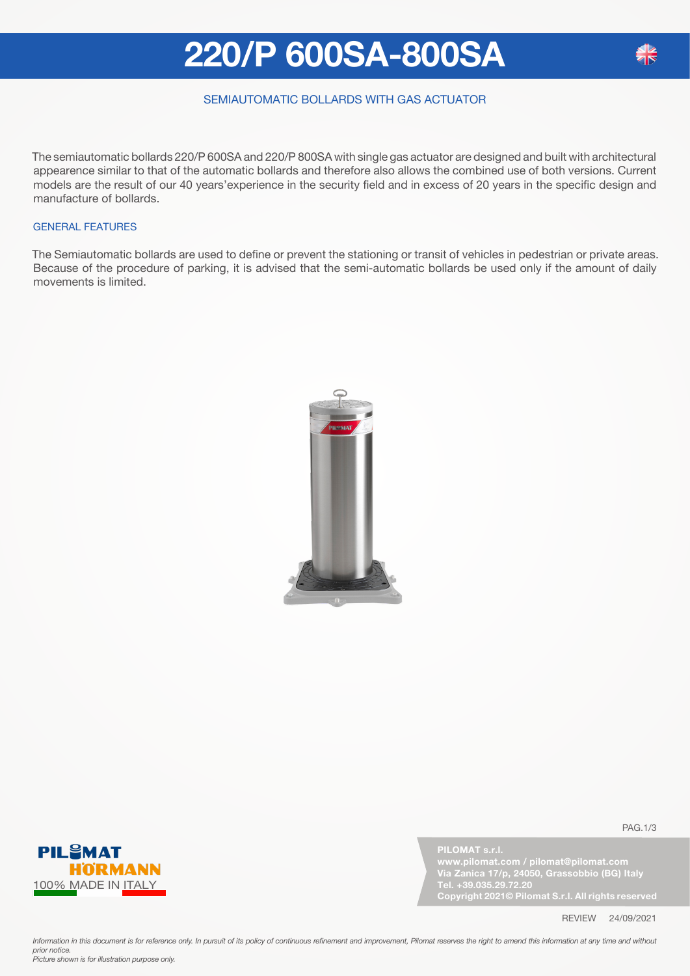## **220/P 600SA-800SA**

### SEMIAUTOMATIC BOLLARDS WITH GAS ACTUATOR

The semiautomatic bollards 220/P 600SA and 220/P 800SA with single gas actuator are designed and built with architectural appearence similar to that of the automatic bollards and therefore also allows the combined use of both versions. Current models are the result of our 40 years'experience in the security field and in excess of 20 years in the specific design and manufacture of bollards.

#### GENERAL FEATURES

The Semiautomatic bollards are used to define or prevent the stationing or transit of vehicles in pedestrian or private areas. Because of the procedure of parking, it is advised that the semi-automatic bollards be used only if the amount of daily movements is limited.





PAG.1/3

**PILOMAT s.r.l. Via Zanica 17/p, 24050, Grassobbio (BG) Italy Tel. +39.035.29.72.20 Copyright 2021© Pilomat S.r.l. All rights reserved**

REVIEW 24/09/2021

Information in this document is for reference only. In pursuit of its policy of continuous refinement and improvement, Pilomat reserves the right to amend this information at any time and without *prior notice. Picture shown is for illustration purpose only.*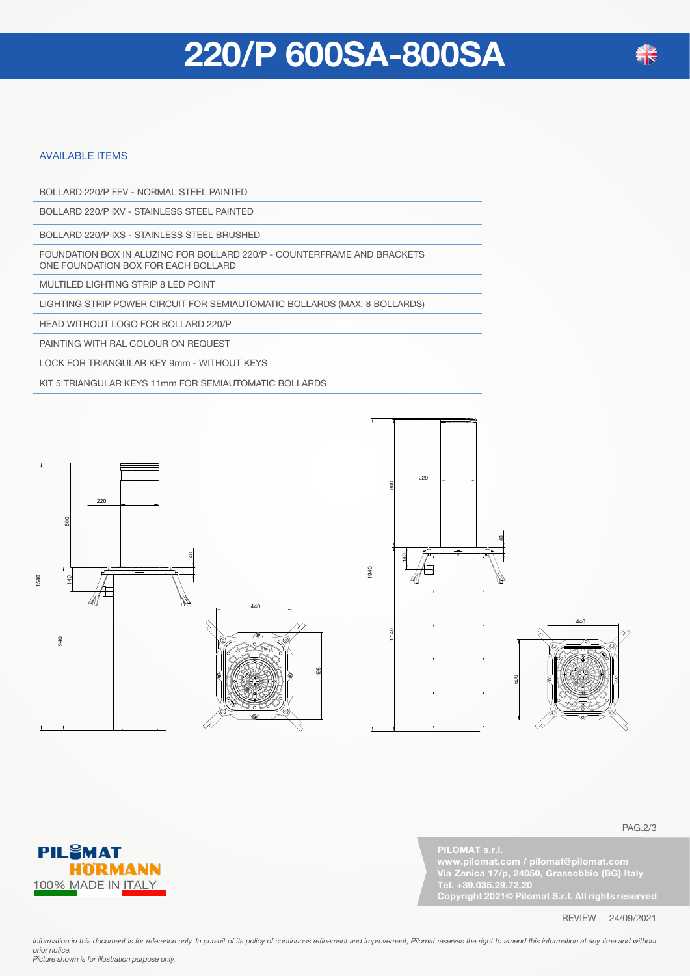### **220/P 600SA-800SA**

#### AVAILABLE ITEMS

BOLLARD 220/P FEV - NORMAL STEEL PAINTED

BOLLARD 220/P IXV - STAINLESS STEEL PAINTED

BOLLARD 220/P IXS - STAINLESS STEEL BRUSHED

FOUNDATION BOX IN ALUZINC FOR BOLLARD 220/P - COUNTERFRAME AND BRACKETS ONE FOUNDATION BOX FOR EACH BOLLARD

MULTILED LIGHTING STRIP 8 LED POINT

LIGHTING STRIP POWER CIRCUIT FOR SEMIAUTOMATIC BOLLARDS (MAX. 8 BOLLARDS)

HEAD WITHOUT LOGO FOR BOLLARD 220/P

PAINTING WITH RAL COLOUR ON REQUEST

LOCK FOR TRIANGULAR KEY 9mm - WITHOUT KEYS

KIT 5 TRIANGULAR KEYS 11mm FOR SEMIAUTOMATIC BOLLARDS







PAG.2/3



REVIEW 24/09/2021

Information in this document is for reference only. In pursuit of its policy of continuous refinement and improvement, Pilomat reserves the right to amend this information at any time and without *prior notice. Picture shown is for illustration purpose only.* 

**PIL<sup>S</sup>MAT HÖRMANN** 100% MADE IN ITALY